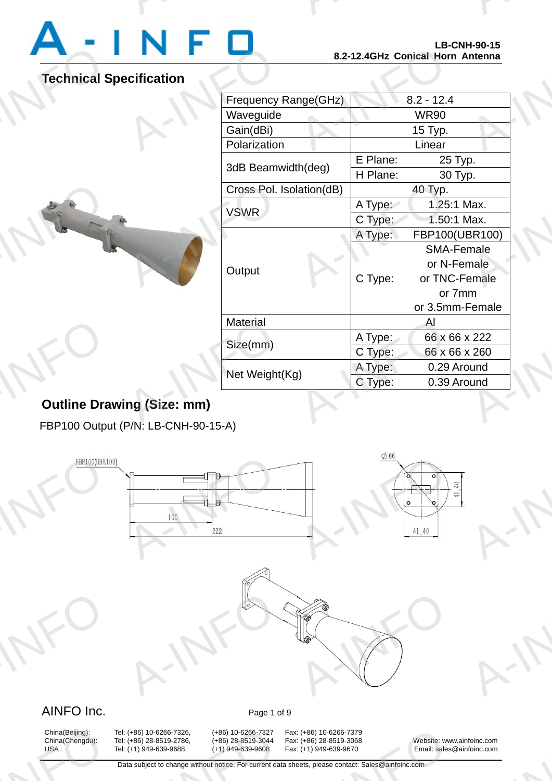# Technical S

A-INFORMATION CONTINUES.

A-INFO

A-INFORMATION CONTINUES.

# **Technical Specification**

A-INFO

|                           |  |                          | LD-VNN-90-19<br>8.2-12.4GHz Conical Horn Antenna |                   |  |
|---------------------------|--|--------------------------|--------------------------------------------------|-------------------|--|
| ecification               |  |                          |                                                  |                   |  |
|                           |  | Frequency Range(GHz)     |                                                  | $8.2 - 12.4$      |  |
|                           |  | Waveguide                | <b>WR90</b>                                      |                   |  |
|                           |  | Gain(dBi)                | 15 Typ.                                          |                   |  |
|                           |  | Polarization             | Linear                                           |                   |  |
|                           |  | 3dB Beamwidth(deg)       | E Plane:                                         | 25 Typ.           |  |
|                           |  |                          | H Plane:                                         | 30 Typ.           |  |
|                           |  | Cross Pol. Isolation(dB) |                                                  | 40 Typ.           |  |
|                           |  | <b>VSWR</b>              | A Type:                                          | 1.25:1 Max.       |  |
|                           |  |                          | C Type:                                          | 1.50:1 Max.       |  |
|                           |  |                          | A Type:                                          | FBP100(UBR100)    |  |
|                           |  | Output                   |                                                  | <b>SMA-Female</b> |  |
|                           |  |                          |                                                  | or N-Female       |  |
|                           |  |                          | C Type:                                          | or TNC-Female     |  |
|                           |  |                          |                                                  | or 7mm            |  |
|                           |  |                          |                                                  | or 3.5mm-Female   |  |
|                           |  | <b>Material</b>          |                                                  | $\mathsf{A}$      |  |
|                           |  | Size(mm)                 | A Type:                                          | 66 x 66 x 222     |  |
|                           |  |                          | C Type:                                          | 66 x 66 x 260     |  |
|                           |  | Net Weight(Kg)           | A Type:                                          | 0.29 Around       |  |
|                           |  |                          | C Type:                                          | 0.39 Around       |  |
| ng (Size: mm)             |  |                          |                                                  |                   |  |
| <b>DALID ONLLOO JE AV</b> |  |                          |                                                  |                   |  |

# **Outline Drawing (Size: mm)**  Dutline Dra

FBP100 Output (P/N: LB-CNH-90-15-A)



China(Beijing):<br>China(Chengdu):<br>USA :

(+86) 10-6266-7326, (+86) 10-6266-7327<br>
(+86) 28-8519-2786, (+86) 28-8519-3044<br>
(+1) 949-639-9688, (+1) 949-639-9608<br>
ta subject to change without notice. For current da

China(Beijing): Tel: (+86) 10-6266-7326, (+86) 10-6266-7327 Fax: (+86) 10-6266-7379<br>China(Chengdu): Tel: (+86) 28-8519-2786, (+86) 28-8519-3044 Fax: (+86) 28-8519-3068 :: (+86) 10-6266-7379<br>
:: (+86) 28-8519-3068<br>
:: (+1) 949-639-9670 Email: sales<br>
eets, please contact: Sales@ainfoinc.com

Website: www.ainfoinc.com USA : Tel: (+1) 949-639-9688, (+1) 949-639-9608 Fax: (+1) 949-639-9670 Email: sales@ainfoinc.com Foinc.com

Data subject to change without notice. For current data sheets, please contact: Sales@ainfoinc.com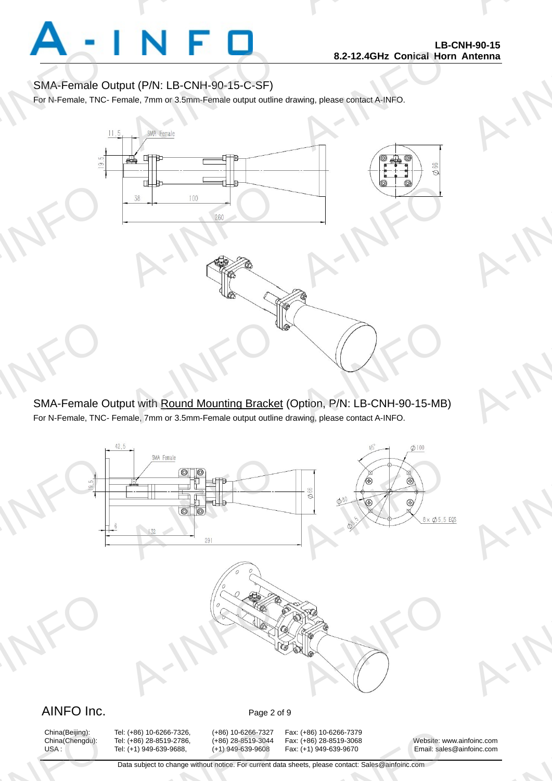A-INFO

A-INFO

A-INFO

A-INFORMATION CONTINUES.

### SMA-Female Output (P/N: LB-CNH-90-15-C-SF)

For N-Female, TNC- Female, 7mm or 3.5mm-Female output outline drawing, please contact A-INFO.

A-INFORMATION CONTINUES.



SMA-Female Output with Round Mounting Bracket (Option, P/N: LB-CNH-90-15-MB) For N-Female, TNC- Female, 7mm or 3.5mm-Female output outline drawing, please contact A-INFO.



China(Beijing):<br>China(Chengdu):<br>USA :

(+86) 10-6266-7326, (+86) 10-6266-7327<br>
(+86) 28-8519-2786, (+86) 28-8519-3044<br>
(+1) 949-639-9688, (+1) 949-639-9608<br>
ta subject to change without notice. For current da

China(Beijing): Tel: (+86) 10-6266-7326, (+86) 10-6266-7327 Fax: (+86) 10-6266-7379

China(Chengdu): Tel: (+86) 28-8519-2786, (+86) 28-8519-3044 Fax: (+86) 28-8519-3068 Website: www.ainfoinc.com USA : Tel: (+1) 949-639-9688, (+1) 949-639-9608 Fax: (+1) 949-639-9670 Email: sales@ainfoinc.com Foinc.com

Data subject to change without notice. For current data sheets, please contact: Sales@ainfoinc.com :: (+86) 10-6266-7379<br>
:: (+86) 28-8519-3068<br>
:: (+1) 949-639-9670 Email: sales<br>
eets, please contact: Sales@ainfoinc.com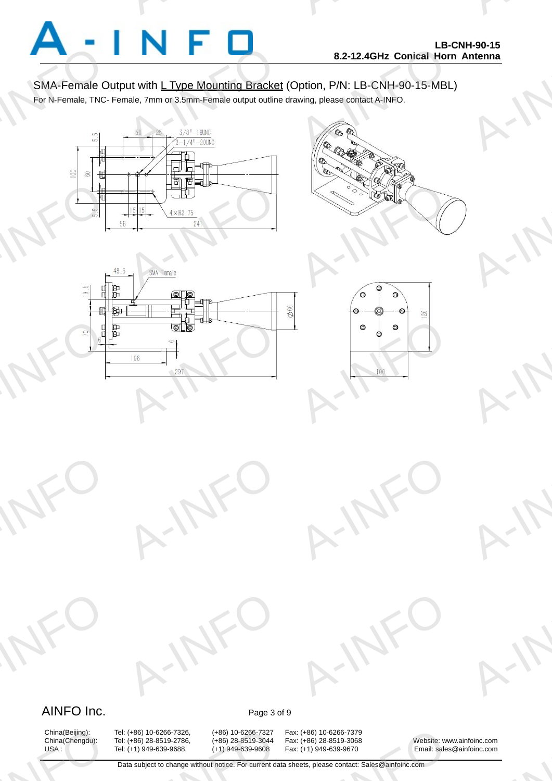

A-INFO

A-INFO

A-INFO

A-INFO

SMA-Female Output with L Type Mounting Bracket (Option, P/N: LB-CNH-90-15-MBL)

For N-Female, TNC- Female, 7mm or 3.5mm-Female output outline drawing, please contact A-INFO.

A-INFORMATION CONTINUES.





A-INFORMATION CONTINUES.









A-IFO

## AINFO Inc. Page 3 of 9

A-INFO

A-INFO

China(Beijing):<br>China(Chengdu):<br>USA :

(+86) 10-6266-7326, (+86) 10-6266-7327<br>
(+86) 28-8519-2786, (+86) 28-8519-3044<br>
(+1) 949-639-9688, (+1) 949-639-9608<br>
ta subject to change without notice. For current da

A-IFO

China(Beijing): Tel: (+86) 10-6266-7326, (+86) 10-6266-7327 Fax: (+86) 10-6266-7379<br>China(Chengdu): Tel: (+86) 28-8519-2786, (+86) 28-8519-3044 Fax: (+86) 28-8519-3068 :: (+86) 10-6266-7379<br>
:: (+86) 28-8519-3068<br>
:: (+1) 949-639-9670 Email: sales<br>
eets, please contact: Sales@ainfoinc.com

Website: www.ainfoinc.com USA : Tel: (+1) 949-639-9688, (+1) 949-639-9608 Fax: (+1) 949-639-9670 Email: sales@ainfoinc.com Foinc.com

Data subject to change without notice. For current data sheets, please contact: Sales@ainfoinc.com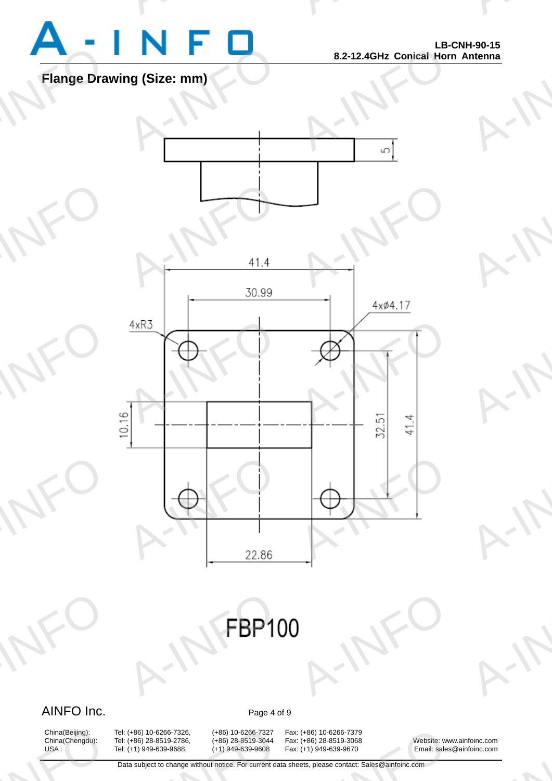

A-INFO

A-INFO

A-INFO

A-INFO

A-INFO

A-INFORMATION CONTINUES.

**Flange Drawing (Size: mm)** 



# A-INFORM

# AINFO Inc. Page 4 of 9

China(Beijing):<br>China(Chengdu):<br>USA :

China(Beijing): Tel: (+86) 10-6266-7326, (+86) 10-6266-7327 Fax: (+86) 10-6266-7379<br>China(Chengdu): Tel: (+86) 28-8519-2786, (+86) 28-8519-3044 Fax: (+86) 28-8519-3068 (+86) 10-6266-7326, (+86) 10-6266-7327<br>
(+86) 28-8519-2786, (+86) 28-8519-3044<br>
(+1) 949-639-9688, (+1) 949-639-9608<br>
ta subject to change without notice. For current da

:: (+86) 10-6266-7379<br>
:: (+86) 28-8519-3068<br>
:: (+1) 949-639-9670 Email: sales<br>
eets, please contact: Sales@ainfoinc.com

Tel: (+86) 28-8519-2786, (+86) 28-8519-3044 Fax: (+86) 28-8519-3068 Website: www.ainfoinc.com<br>
Tel: (+1) 949-639-9608 Fax: (+1) 949-639-9670 Email: sales@ainfoinc.com USA : Tel: (+1) 949-639-9688, (+1) 949-639-9608 Fax: (+1) 949-639-9670 Email: sales@ainfoinc.com Foinc.com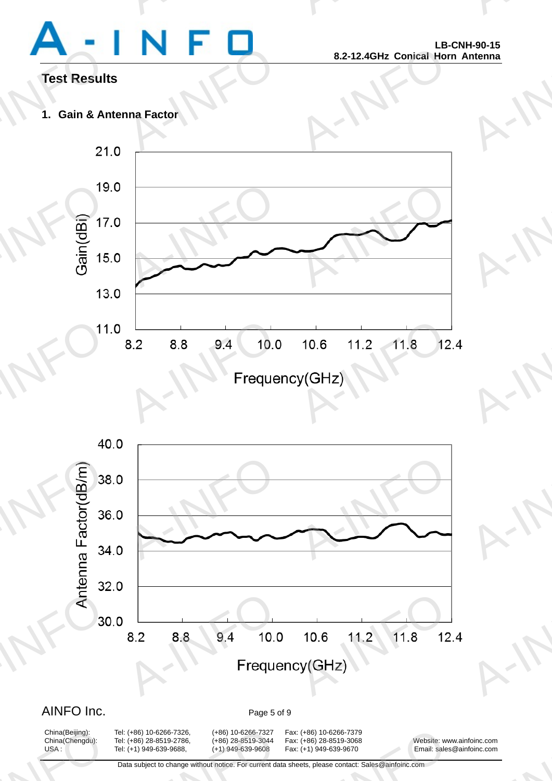# Test Result<br>1. Gain & An

A-INFORMATION CONTINUES.

A-INFO

A-INFO

A-INFO

A-INFORMATION CONTINUES.

## **Test Results**

**1. Gain & Antenna Factor** 



40.0 R-INFORMED 38 A-IFO A-INFO A-IF (E) 8.2 8.8 9.4 10.0 10.6 11.2 11.8 12

## AINFO Inc. Page 5 of 9

China(Beijing):<br>China(Chengdu):<br>USA :

(+86) 10-6266-7326, (+86) 10-6266-7327<br>
(+86) 28-8519-2786, (+86) 28-8519-3044<br>
(+1) 949-639-9688, (+1) 949-639-9608<br>
ta subject to change without notice. For current da

China(Beijing): Tel: (+86) 10-6266-7326, (+86) 10-6266-7327 Fax: (+86) 10-6266-7379 China(Chengdu): Tel: (+86) 28-8519-2786, (+86) 28-8519-3044 Fax: (+86) 28-8519-3068 Website: www.ainfoinc.com USA : Tel: (+1) 949-639-9688, (+1) 949-639-9608 Fax: (+1) 949-639-9670 Email: sales@ainfoinc.com :: (+86) 10-6266-7379<br>
:: (+86) 28-8519-3068<br>
:: (+1) 949-639-9670 Email: sales<br>
eets, please contact: Sales@ainfoinc.com

Foinc.com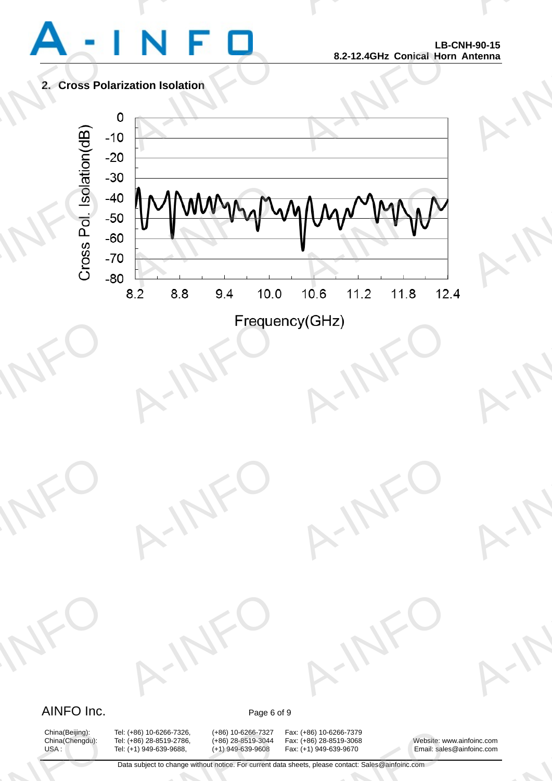

A-INFO

A-INFO

A-INFO

A-INFORMATION CONTINUES.

A-IFO

A-IFO

### **2. Cross Polarization Isolation**



## AINFO Inc. Page 6 of 9

A-INFO

A-INFO

China(Beijing):<br>China(Chengdu):<br>USA :

(+86) 10-6266-7326, (+86) 10-6266-7327<br>
(+86) 28-8519-2786, (+86) 28-8519-3044<br>
(+1) 949-639-9688, (+1) 949-639-9608<br>
ta subject to change without notice. For current da

A-IFO

A-IFO

China(Beijing): Tel: (+86) 10-6266-7326, (+86) 10-6266-7327 Fax: (+86) 10-6266-7379

China(Chengdu): Tel: (+86) 28-8519-2786, (+86) 28-8519-3044 Fax: (+86) 28-8519-3068 Website: www.ainfoinc.com USA : Tel: (+1) 949-639-9688, (+1) 949-639-9608 Fax: (+1) 949-639-9670 Email: sales@ainfoinc.com Foinc.com

Data subject to change without notice. For current data sheets, please contact: Sales@ainfoinc.com :: (+86) 10-6266-7379<br>
:: (+86) 28-8519-3068<br>
:: (+1) 949-639-9670 Email: sales<br>
eets, please contact: Sales@ainfoinc.com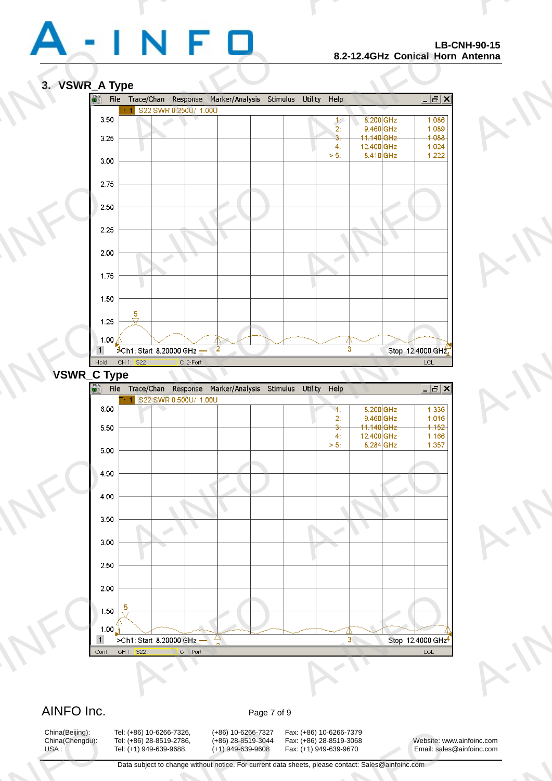A-INFO

A-INFO

A-INFO

A-INFO

A-INFO

A-INFORMATION CONTINUES.

### **3. VSWR\_A Type**



### AINFO Inc. Page 7 of 9

China(Beijing):<br>China(Chengdu):<br>USA :

China(Beijing): Tel: (+86) 10-6266-7326, (+86) 10-6266-7327 Fax: (+86) 10-6266-7379 (+86) 10-6266-7326, (+86) 10-6266-7327<br>
(+86) 28-8519-2786, (+86) 28-8519-3044<br>
(+1) 949-639-9688, (+1) 949-639-9608<br>
ta subject to change without notice. For current da

China(Chengdu): Tel: (+86) 28-8519-2786, (+86) 28-8519-3044 Fax: (+86) 28-8519-3068 Website: www.ainfoinc.com USA : Tel: (+1) 949-639-9688, (+1) 949-639-9608 Fax: (+1) 949-639-9670 Email: sales@ainfoinc.com Foinc.com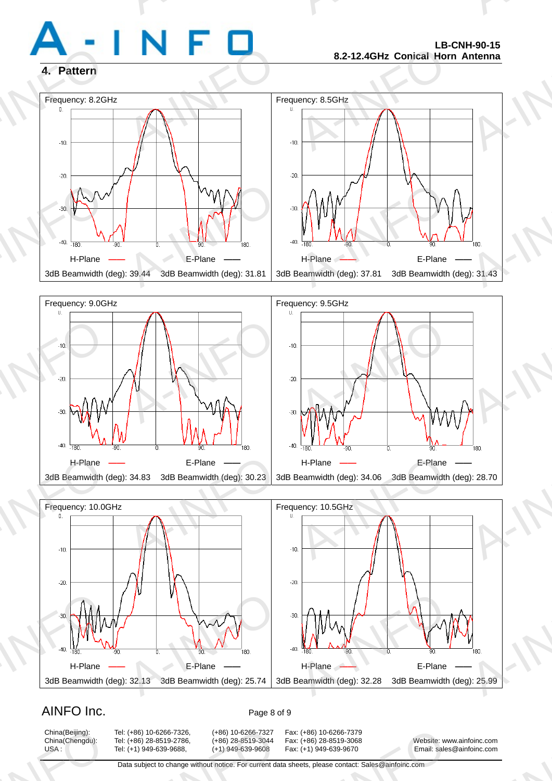A-INFO

A-INFORMATION CONTINUES.

### **4. Pattern**







### AINFO Inc. Page 8 of 9

China(Beijing):<br>China(Chengdu):<br>USA :

(+86) 10-6266-7326, (+86) 10-6266-7327<br>
(+86) 28-8519-2786, (+86) 28-8519-3044<br>
(+1) 949-639-9688, (+1) 949-639-9608<br>
ta subject to change without notice. For current da

China(Beijing): Tel: (+86) 10-6266-7326, (+86) 10-6266-7327 Fax: (+86) 10-6266-7379 China(Chengdu): Tel: (+86) 28-8519-2786, (+86) 28-8519-3044 Fax: (+86) 28-8519-3068 Website: www.ainfoinc.com USA : Tel: (+1) 949-639-9688, (+1) 949-639-9608 Fax: (+1) 949-639-9670 Email: sales@ainfoinc.com :: (+86) 10-6266-7379<br>
:: (+86) 28-8519-3068<br>
:: (+1) 949-639-9670 Email: sales<br>
eets, please contact: Sales@ainfoinc.com

Foinc.com